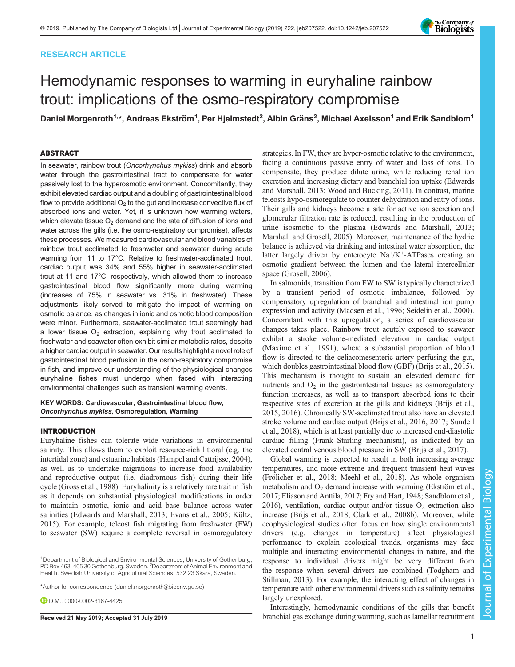# RESEARCH ARTICLE

# Hemodynamic responses to warming in euryhaline rainbow trout: implications of the osmo-respiratory compromise

Daniel Morgenroth<sup>1,</sup>\*, Andreas Ekström<sup>1</sup>, Per Hjelmstedt<sup>2</sup>, Albin Gräns<sup>2</sup>, Michael Axelsson<sup>1</sup> and Erik Sandblom<sup>1</sup>

# ABSTRACT

In seawater, rainbow trout (Oncorhynchus mykiss) drink and absorb water through the gastrointestinal tract to compensate for water passively lost to the hyperosmotic environment. Concomitantly, they exhibit elevated cardiac output and a doubling of gastrointestinal blood flow to provide additional  $O<sub>2</sub>$  to the gut and increase convective flux of absorbed ions and water. Yet, it is unknown how warming waters, which elevate tissue  $O_2$  demand and the rate of diffusion of ions and water across the gills (i.e. the osmo-respiratory compromise), affects these processes. We measured cardiovascular and blood variables of rainbow trout acclimated to freshwater and seawater during acute warming from 11 to 17°C. Relative to freshwater-acclimated trout, cardiac output was 34% and 55% higher in seawater-acclimated trout at 11 and 17°C, respectively, which allowed them to increase gastrointestinal blood flow significantly more during warming (increases of 75% in seawater vs. 31% in freshwater). These adjustments likely served to mitigate the impact of warming on osmotic balance, as changes in ionic and osmotic blood composition were minor. Furthermore, seawater-acclimated trout seemingly had a lower tissue  $O_2$  extraction, explaining why trout acclimated to freshwater and seawater often exhibit similar metabolic rates, despite a higher cardiac output in seawater. Our results highlight a novel role of gastrointestinal blood perfusion in the osmo-respiratory compromise in fish, and improve our understanding of the physiological changes euryhaline fishes must undergo when faced with interacting environmental challenges such as transient warming events.

KEY WORDS: Cardiovascular, Gastrointestinal blood flow, Oncorhynchus mykiss, Osmoregulation, Warming

# INTRODUCTION

Euryhaline fishes can tolerate wide variations in environmental salinity. This allows them to exploit resource-rich littoral (e.g. the intertidal zone) and estuarine habitats ([Hampel and Cattrijsse, 2004\)](#page-8-0), as well as to undertake migrations to increase food availability and reproductive output (i.e. diadromous fish) during their life cycle ([Gross et al., 1988](#page-8-0)). Euryhalinity is a relatively rare trait in fish as it depends on substantial physiological modifications in order to maintain osmotic, ionic and acid–base balance across water salinities [\(Edwards and Marshall, 2013; Evans et al., 2005](#page-7-0); [Kültz,](#page-8-0) [2015\)](#page-8-0). For example, teleost fish migrating from freshwater (FW) to seawater (SW) require a complete reversal in osmoregulatory

strategies. In FW, they are hyper-osmotic relative to the environment, facing a continuous passive entry of water and loss of ions. To compensate, they produce dilute urine, while reducing renal ion excretion and increasing dietary and branchial ion uptake [\(Edwards](#page-7-0) [and Marshall, 2013;](#page-7-0) [Wood and Bucking, 2011](#page-8-0)). In contrast, marine teleosts hypo-osmoregulate to counter dehydration and entry of ions. Their gills and kidneys become a site for active ion secretion and glomerular filtration rate is reduced, resulting in the production of urine isosmotic to the plasma ([Edwards and Marshall, 2013](#page-7-0); [Marshall and Grosell, 2005\)](#page-8-0). Moreover, maintenance of the hydric balance is achieved via drinking and intestinal water absorption, the latter largely driven by enterocyte  $Na^{+}/K^{+}$ -ATPases creating an osmotic gradient between the lumen and the lateral intercellular space [\(Grosell, 2006](#page-8-0)).

In salmonids, transition from FW to SW is typically characterized by a transient period of osmotic imbalance, followed by compensatory upregulation of branchial and intestinal ion pump expression and activity ([Madsen et al., 1996](#page-8-0); [Seidelin et al., 2000\)](#page-8-0). Concomitant with this upregulation, a series of cardiovascular changes takes place. Rainbow trout acutely exposed to seawater exhibit a stroke volume-mediated elevation in cardiac output [\(Maxime et al., 1991\)](#page-8-0), where a substantial proportion of blood flow is directed to the celiacomesenteric artery perfusing the gut, which doubles gastrointestinal blood flow (GBF) ([Brijs et al., 2015\)](#page-7-0). This mechanism is thought to sustain an elevated demand for nutrients and  $O_2$  in the gastrointestinal tissues as osmoregulatory function increases, as well as to transport absorbed ions to their respective sites of excretion at the gills and kidneys [\(Brijs et al.,](#page-7-0) [2015, 2016](#page-7-0)). Chronically SW-acclimated trout also have an elevated stroke volume and cardiac output [\(Brijs et al., 2016](#page-7-0), [2017](#page-7-0); [Sundell](#page-8-0) [et al., 2018](#page-8-0)), which is at least partially due to increased end-diastolic cardiac filling (Frank–Starling mechanism), as indicated by an elevated central venous blood pressure in SW ([Brijs et al., 2017\)](#page-7-0).

Global warming is expected to result in both increasing average temperatures, and more extreme and frequent transient heat waves [\(Frölicher et al., 2018;](#page-7-0) [Meehl et al., 2018](#page-8-0)). As whole organism metabolism and  $O_2$  demand increase with warming [\(Ekström et al.,](#page-7-0) [2017; Eliason and Anttila, 2017; Fry and Hart, 1948;](#page-7-0) [Sandblom et al.,](#page-8-0) [2016\)](#page-8-0), ventilation, cardiac output and/or tissue  $O_2$  extraction also increase [\(Brijs et al., 2018; Clark et al., 2008b\)](#page-7-0). Moreover, while ecophysiological studies often focus on how single environmental drivers (e.g. changes in temperature) affect physiological performance to explain ecological trends, organisms may face multiple and interacting environmental changes in nature, and the response to individual drivers might be very different from the response when several drivers are combined [\(Todgham and](#page-8-0) [Stillman, 2013\)](#page-8-0). For example, the interacting effect of changes in temperature with other environmental drivers such as salinity remains largely unexplored.

Interestingly, hemodynamic conditions of the gills that benefit Received 21 May 2019; Accepted 31 July 2019 branchial gas exchange during warming, such as lamellar recruitment



<sup>&</sup>lt;sup>1</sup>Department of Biological and Environmental Sciences, University of Gothenburg, PO Box 463, 405 30 Gothenburg, Sweden. <sup>2</sup> Department of Animal Environment and Health, Swedish University of Agricultural Sciences, 532 23 Skara, Sweden.

<sup>\*</sup>Author for correspondence [\(daniel.morgenroth@bioenv.gu.se\)](mailto:daniel.morgenroth@bioenv.gu.se)

**D.D.M.**, [0000-0002-3167-4425](http://orcid.org/0000-0002-3167-4425)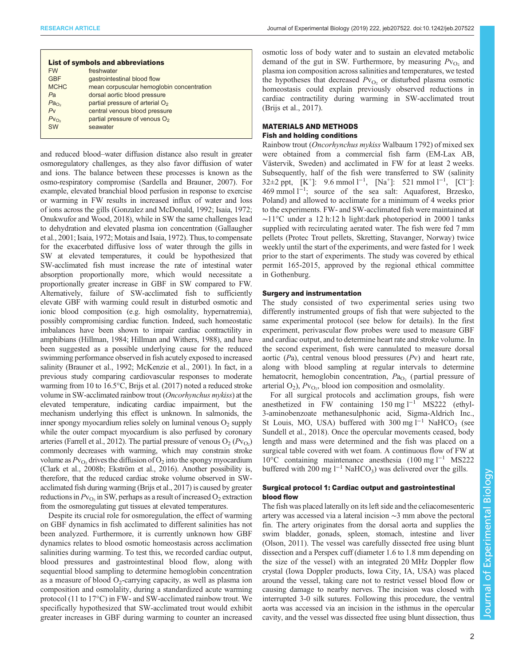| <b>List of symbols and abbreviations</b>    |  |  |  |  |
|---------------------------------------------|--|--|--|--|
| freshwater                                  |  |  |  |  |
| gastrointestinal blood flow                 |  |  |  |  |
| mean corpuscular hemoglobin concentration   |  |  |  |  |
| dorsal aortic blood pressure                |  |  |  |  |
| partial pressure of arterial O <sub>2</sub> |  |  |  |  |
| central venous blood pressure               |  |  |  |  |
| partial pressure of venous O <sub>2</sub>   |  |  |  |  |
| seawater                                    |  |  |  |  |
|                                             |  |  |  |  |

and reduced blood–water diffusion distance also result in greater osmoregulatory challenges, as they also favor diffusion of water and ions. The balance between these processes is known as the osmo-respiratory compromise [\(Sardella and Brauner, 2007](#page-8-0)). For example, elevated branchial blood perfusion in response to exercise or warming in FW results in increased influx of water and loss of ions across the gills ([Gonzalez and McDonald, 1992; Isaia, 1972](#page-8-0); [Onukwufor and Wood, 2018\)](#page-8-0), while in SW the same challenges lead to dehydration and elevated plasma ion concentration [\(Gallaugher](#page-7-0) [et al., 2001;](#page-7-0) [Isaia, 1972; Motais and Isaia, 1972](#page-8-0)). Thus, to compensate for the exacerbated diffusive loss of water through the gills in SW at elevated temperatures, it could be hypothesized that SW-acclimated fish must increase the rate of intestinal water absorption proportionally more, which would necessitate a proportionally greater increase in GBF in SW compared to FW. Alternatively, failure of SW-acclimated fish to sufficiently elevate GBF with warming could result in disturbed osmotic and ionic blood composition (e.g. high osmolality, hypernatremia), possibly compromising cardiac function. Indeed, such homeostatic imbalances have been shown to impair cardiac contractility in amphibians [\(Hillman, 1984; Hillman and Withers, 1988](#page-8-0)), and have been suggested as a possible underlying cause for the reduced swimming performance observed in fish acutely exposed to increased salinity [\(Brauner et al., 1992;](#page-7-0) [McKenzie et al., 2001](#page-8-0)). In fact, in a previous study comparing cardiovascular responses to moderate warming from 10 to 16.5°C, [Brijs et al. \(2017\)](#page-7-0) noted a reduced stroke volume in SW-acclimated rainbow trout (Oncorhynchus mykiss) at the elevated temperature, indicating cardiac impairment, but the mechanism underlying this effect is unknown. In salmonids, the inner spongy myocardium relies solely on luminal venous  $O_2$  supply while the outer compact myocardium is also perfused by coronary arteries [\(Farrell et al., 2012](#page-7-0)). The partial pressure of venous  $O_2(Pv_{O_2})$ commonly decreases with warming, which may constrain stroke volume as  $Pv_{\Omega_2}$  drives the diffusion of  $\Omega_2$  into the spongy myocardium [\(Clark et al., 2008b](#page-7-0); [Ekström et al., 2016](#page-7-0)). Another possibility is, therefore, that the reduced cardiac stroke volume observed in SWacclimated fish during warming [\(Brijs et al., 2017](#page-7-0)) is caused by greater reductions in  $Pv_{\text{O}_2}$  in SW, perhaps as a result of increased  $O_2$  extraction from the osmoregulating gut tissues at elevated temperatures.

Despite its crucial role for osmoregulation, the effect of warming on GBF dynamics in fish acclimated to different salinities has not been analyzed. Furthermore, it is currently unknown how GBF dynamics relates to blood osmotic homeostasis across acclimation salinities during warming. To test this, we recorded cardiac output, blood pressures and gastrointestinal blood flow, along with sequential blood sampling to determine hemoglobin concentration as a measure of blood  $O_2$ -carrying capacity, as well as plasma ion composition and osmolality, during a standardized acute warming protocol (11 to 17°C) in FW- and SW-acclimated rainbow trout. We specifically hypothesized that SW-acclimated trout would exhibit greater increases in GBF during warming to counter an increased

osmotic loss of body water and to sustain an elevated metabolic demand of the gut in SW. Furthermore, by measuring  $Pv_{\text{O}_2}$  and plasma ion composition across salinities and temperatures, we tested the hypotheses that decreased  $Pv_{\text{O}_2}$  or disturbed plasma osmotic homeostasis could explain previously observed reductions in cardiac contractility during warming in SW-acclimated trout [\(Brijs et al., 2017\)](#page-7-0).

## MATERIALS AND METHODS Fish and holding conditions

Rainbow trout (Oncorhynchus mykiss Walbaum 1792) of mixed sex were obtained from a commercial fish farm (EM-Lax AB, Västervik, Sweden) and acclimated in FW for at least 2 weeks. Subsequently, half of the fish were transferred to SW (salinity  $32\pm 2$  ppt, [K<sup>+</sup>]: 9.6 mmol l<sup>-1</sup>, [Na<sup>+</sup>]: 521 mmol l<sup>-1</sup>, [Cl<sup>-</sup>]: 469 mmol l−<sup>1</sup> ; source of the sea salt: Aquaforest, Brzesko, Poland) and allowed to acclimate for a minimum of 4 weeks prior to the experiments. FW- and SW-acclimated fish were maintained at ∼11°C under a 12 h:12 h light:dark photoperiod in 2000 l tanks supplied with recirculating aerated water. The fish were fed 7 mm pellets (Protec Trout pellets, Skretting, Stavanger, Norway) twice weekly until the start of the experiments, and were fasted for 1 week prior to the start of experiments. The study was covered by ethical permit 165-2015, approved by the regional ethical committee in Gothenburg.

## Surgery and instrumentation

The study consisted of two experimental series using two differently instrumented groups of fish that were subjected to the same experimental protocol (see below for details). In the first experiment, perivascular flow probes were used to measure GBF and cardiac output, and to determine heart rate and stroke volume. In the second experiment, fish were cannulated to measure dorsal aortic  $(Pa)$ , central venous blood pressures  $(Pv)$  and heart rate, along with blood sampling at regular intervals to determine hematocrit, hemoglobin concentration,  $Pa<sub>O<sub>2</sub></sub>$  (partial pressure of arterial  $O_2$ ),  $Pv_{O_2}$ , blood ion composition and osmolality.

For all surgical protocols and acclimation groups, fish were anesthetized in FW containing 150 mg l−<sup>1</sup> MS222 (ethyl-3-aminobenzoate methanesulphonic acid, Sigma-Aldrich Inc., St Louis, MO, USA) buffered with 300 mg  $l^{-1}$  NaHCO<sub>3</sub> (see [Sundell et al., 2018](#page-8-0)). Once the opercular movements ceased, body length and mass were determined and the fish was placed on a surgical table covered with wet foam. A continuous flow of FW at 10°C containing maintenance anesthesia (100 mg l−<sup>1</sup> MS222 buffered with 200 mg  $l^{-1}$  NaHCO<sub>3</sub>) was delivered over the gills.

## Surgical protocol 1: Cardiac output and gastrointestinal blood flow

The fish was placed laterally on its left side and the celiacomesenteric artery was accessed via a lateral incision ∼3 mm above the pectoral fin. The artery originates from the dorsal aorta and supplies the swim bladder, gonads, spleen, stomach, intestine and liver [\(Olson, 2011\)](#page-8-0). The vessel was carefully dissected free using blunt dissection and a Perspex cuff (diameter 1.6 to 1.8 mm depending on the size of the vessel) with an integrated 20 MHz Doppler flow crystal (Iowa Doppler products, Iowa City, IA, USA) was placed around the vessel, taking care not to restrict vessel blood flow or causing damage to nearby nerves. The incision was closed with interrupted 3-0 silk sutures. Following this procedure, the ventral aorta was accessed via an incision in the isthmus in the opercular cavity, and the vessel was dissected free using blunt dissection, thus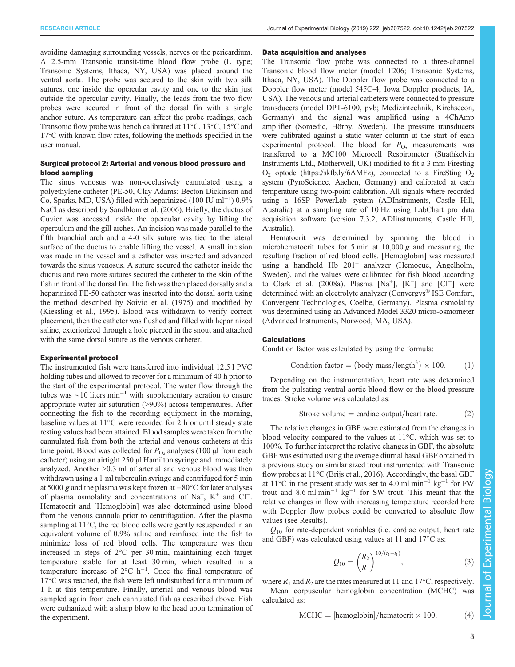avoiding damaging surrounding vessels, nerves or the pericardium. A 2.5-mm Transonic transit-time blood flow probe (L type; Transonic Systems, Ithaca, NY, USA) was placed around the ventral aorta. The probe was secured to the skin with two silk sutures, one inside the opercular cavity and one to the skin just outside the opercular cavity. Finally, the leads from the two flow probes were secured in front of the dorsal fin with a single anchor suture. As temperature can affect the probe readings, each Transonic flow probe was bench calibrated at 11°C, 13°C, 15°C and 17°C with known flow rates, following the methods specified in the user manual.

# Surgical protocol 2: Arterial and venous blood pressure and blood sampling

The sinus venosus was non-occlusively cannulated using a polyethylene catheter (PE-50, Clay Adams; Becton Dickinson and Co, Sparks, MD, USA) filled with heparinized (100 IU ml−<sup>1</sup> ) 0.9% NaCl as described by [Sandblom et al. \(2006\)](#page-8-0). Briefly, the ductus of Cuvier was accessed inside the opercular cavity by lifting the operculum and the gill arches. An incision was made parallel to the fifth branchial arch and a 4-0 silk suture was tied to the lateral surface of the ductus to enable lifting the vessel. A small incision was made in the vessel and a catheter was inserted and advanced towards the sinus venosus. A suture secured the catheter inside the ductus and two more sutures secured the catheter to the skin of the fish in front of the dorsal fin. The fish was then placed dorsally and a heparinized PE-50 catheter was inserted into the dorsal aorta using the method described by [Soivio et al. \(1975\)](#page-8-0) and modified by [\(Kiessling et al., 1995\)](#page-8-0). Blood was withdrawn to verify correct placement, then the catheter was flushed and filled with heparinized saline, exteriorized through a hole pierced in the snout and attached with the same dorsal suture as the venous catheter.

#### Experimental protocol

The instrumented fish were transferred into individual 12.5 l PVC holding tubes and allowed to recover for a minimum of 40 h prior to the start of the experimental protocol. The water flow through the tubes was ∼10 liters min−<sup>1</sup> with supplementary aeration to ensure appropriate water air saturation (>90%) across temperatures. After connecting the fish to the recording equipment in the morning, baseline values at 11°C were recorded for 2 h or until steady state resting values had been attained. Blood samples were taken from the cannulated fish from both the arterial and venous catheters at this time point. Blood was collected for  $P_{\text{O}_2}$  analyses (100 µl from each catheter) using an airtight 250 µl Hamilton syringe and immediately analyzed. Another >0.3 ml of arterial and venous blood was then withdrawn using a 1 ml tuberculin syringe and centrifuged for 5 min at 5000 g and the plasma was kept frozen at <sup>−</sup>80°C for later analyses of plasma osmolality and concentrations of Na<sup>+</sup>, K<sup>+</sup> and Cl<sup>−</sup>. Hematocrit and [Hemoglobin] was also determined using blood from the venous cannula prior to centrifugation. After the plasma sampling at 11°C, the red blood cells were gently resuspended in an equivalent volume of 0.9% saline and reinfused into the fish to minimize loss of red blood cells. The temperature was then increased in steps of 2°C per 30 min, maintaining each target temperature stable for at least 30 min, which resulted in a temperature increase of  $2^{\circ}$ C h<sup>-1</sup>. Once the final temperature of 17°C was reached, the fish were left undisturbed for a minimum of 1 h at this temperature. Finally, arterial and venous blood was sampled again from each cannulated fish as described above. Fish were euthanized with a sharp blow to the head upon termination of the experiment.

#### Data acquisition and analyses

The Transonic flow probe was connected to a three-channel Transonic blood flow meter (model T206; Transonic Systems, Ithaca, NY, USA). The Doppler flow probe was connected to a Doppler flow meter (model 545C-4, Iowa Doppler products, IA, USA). The venous and arterial catheters were connected to pressure transducers (model DPT-6100, pvb; Medizintechnik, Kirchseeon, Germany) and the signal was amplified using a 4ChAmp amplifier (Somedic, Hörby, Sweden). The pressure transducers were calibrated against a static water column at the start of each experimental protocol. The blood for  $P_{\text{O}_2}$  measurements was transferred to a MC100 Microcell Respirometer (Strathkelvin Instruments Ltd., Motherwell, UK) modified to fit a 3 mm Firesting  $O<sub>2</sub>$  optode [\(https://skfb.ly/6AMFz\)](https://skfb.ly/6AMFz), connected to a FireSting  $O<sub>2</sub>$ system (PyroScience, Aachen, Germany) and calibrated at each temperature using two-point calibration. All signals where recorded using a 16SP PowerLab system (ADInstruments, Castle Hill, Australia) at a sampling rate of 10 Hz using LabChart pro data acquisition software (version 7.3.2, ADIinstruments, Castle Hill, Australia).

Hematocrit was determined by spinning the blood in microhematocrit tubes for 5 min at  $10,000 \, \text{g}$  and measuring the resulting fraction of red blood cells. [Hemoglobin] was measured using a handheld Hb  $201<sup>+</sup>$  analyzer (Hemocue, Ängelholm, Sweden), and the values were calibrated for fish blood according to [Clark et al. \(2008a\)](#page-7-0). Plasma [Na<sup>+</sup>], [K<sup>+</sup>] and [Cl<sup>-</sup>] were determined with an electrolyte analyzer (Convergys® ISE Comfort, Convergent Technologies, Coelbe, Germany). Plasma osmolality was determined using an Advanced Model 3320 micro-osmometer (Advanced Instruments, Norwood, MA, USA).

#### **Calculations**

Condition factor was calculated by using the formula:

Condition factor = (body mass/length<sup>3</sup>) 
$$
\times
$$
 100. (1)

Depending on the instrumentation, heart rate was determined from the pulsating ventral aortic blood flow or the blood pressure traces. Stroke volume was calculated as:

$$
Stroke volume = cardiac output/heart rate. \t(2)
$$

The relative changes in GBF were estimated from the changes in blood velocity compared to the values at 11°C, which was set to 100%. To further interpret the relative changes in GBF, the absolute GBF was estimated using the average diurnal basal GBF obtained in a previous study on similar sized trout instrumented with Transonic flow probes at 11°C ([Brijs et al., 2016](#page-7-0)). Accordingly, the basal GBF at 11°C in the present study was set to 4.0 ml min−<sup>1</sup> kg−<sup>1</sup> for FW trout and 8.6 ml min<sup>-1</sup> kg<sup>-1</sup> for SW trout. This meant that the relative changes in flow with increasing temperature recorded here with Doppler flow probes could be converted to absolute flow values (see Results).

 $Q_{10}$  for rate-dependent variables (i.e. cardiac output, heart rate and GBF) was calculated using values at 11 and 17°C as:

$$
Q_{10} = \left(\frac{R_2}{R_1}\right)^{10/(t_2 - t_1)},\tag{3}
$$

where  $R_1$  and  $R_2$  are the rates measured at 11 and 17°C, respectively. Mean corpuscular hemoglobin concentration (MCHC) was calculated as:

$$
MCHC = [hemoglobin]/hematorit \times 100.
$$
 (4)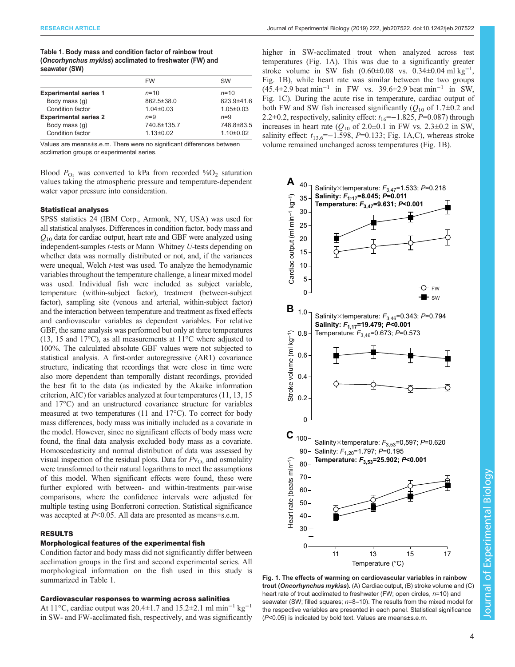Table 1. Body mass and condition factor of rainbow trout (Oncorhynchus mykiss) acclimated to freshwater (FW) and seawater (SW)

|                              | <b>FW</b>       | <b>SW</b>       |
|------------------------------|-----------------|-----------------|
| <b>Experimental series 1</b> | $n = 10$        | $n = 10$        |
| Body mass (q)                | 862.5±38.0      | 823.9±41.6      |
| Condition factor             | $1.04 \pm 0.03$ | $1.05 \pm 0.03$ |
| <b>Experimental series 2</b> | $n=9$           | $n=9$           |
| Body mass (g)                | 740.8±135.7     | 748.8±83.5      |
| Condition factor             | $1.13 \pm 0.02$ | $1.10+0.02$     |
|                              |                 |                 |

Values are means±s.e.m. There were no significant differences between acclimation groups or experimental series.

Blood  $P_{\text{O}_2}$  was converted to kPa from recorded % $O_2$  saturation values taking the atmospheric pressure and temperature-dependent water vapor pressure into consideration.

## Statistical analyses

SPSS statistics 24 (IBM Corp., Armonk, NY, USA) was used for all statistical analyses. Differences in condition factor, body mass and  $Q_{10}$  data for cardiac output, heart rate and GBF were analyzed using independent-samples t-tests or Mann–Whitney U-tests depending on whether data was normally distributed or not, and, if the variances were unequal, Welch t-test was used. To analyze the hemodynamic variables throughout the temperature challenge, a linear mixed model was used. Individual fish were included as subject variable, temperature (within-subject factor), treatment (between-subject factor), sampling site (venous and arterial, within-subject factor) and the interaction between temperature and treatment as fixed effects and cardiovascular variables as dependent variables. For relative GBF, the same analysis was performed but only at three temperatures (13, 15 and 17°C), as all measurements at 11°C where adjusted to 100%. The calculated absolute GBF values were not subjected to statistical analysis. A first-order autoregressive (AR1) covariance structure, indicating that recordings that were close in time were also more dependent than temporally distant recordings, provided the best fit to the data (as indicated by the Akaike information criterion, AIC) for variables analyzed at four temperatures (11, 13, 15 and 17°C) and an unstructured covariance structure for variables measured at two temperatures (11 and 17°C). To correct for body mass differences, body mass was initially included as a covariate in the model. However, since no significant effects of body mass were found, the final data analysis excluded body mass as a covariate. Homoscedasticity and normal distribution of data was assessed by visual inspection of the residual plots. Data for  $Pv_{\text{O}_2}$  and osmolality were transformed to their natural logarithms to meet the assumptions of this model. When significant effects were found, these were further explored with between- and within-treatments pair-wise comparisons, where the confidence intervals were adjusted for multiple testing using Bonferroni correction. Statistical significance was accepted at  $P<0.05$ . All data are presented as means±s.e.m.

# RESULTS

## Morphological features of the experimental fish

Condition factor and body mass did not significantly differ between acclimation groups in the first and second experimental series. All morphological information on the fish used in this study is summarized in Table 1.

## Cardiovascular responses to warming across salinities

At 11°C, cardiac output was 20.4±1.7 and 15.2±2.1 ml min−<sup>1</sup> kg−<sup>1</sup> in SW- and FW-acclimated fish, respectively, and was significantly higher in SW-acclimated trout when analyzed across test temperatures (Fig. 1A). This was due to a significantly greater stroke volume in SW fish  $(0.60 \pm 0.08$  vs.  $0.34 \pm 0.04$  ml kg<sup>-1</sup>, Fig. 1B), while heart rate was similar between the two groups (45.4±2.9 beat min−<sup>1</sup> in FW vs. 39.6±2.9 beat min−<sup>1</sup> in SW, Fig. 1C). During the acute rise in temperature, cardiac output of both FW and SW fish increased significantly ( $Q_{10}$  of 1.7 $\pm$ 0.2 and 2.2 $\pm$ 0.2, respectively, salinity effect:  $t_{16}$ =−1.825, P=0.087) through increases in heart rate ( $Q_{10}$  of 2.0±0.1 in FW vs. 2.3±0.2 in SW, salinity effect:  $t_{13.6}$ =−1.598, P=0.133; Fig. 1A,C), whereas stroke volume remained unchanged across temperatures (Fig. 1B).



Fig. 1. The effects of warming on cardiovascular variables in rainbow trout (Oncorhynchus mykiss). (A) Cardiac output, (B) stroke volume and (C) heart rate of trout acclimated to freshwater (FW; open circles,  $n=10$ ) and seawater (SW; filled squares;  $n=8-10$ ). The results from the mixed model for the respective variables are presented in each panel. Statistical significance (P<0.05) is indicated by bold text. Values are means±s.e.m.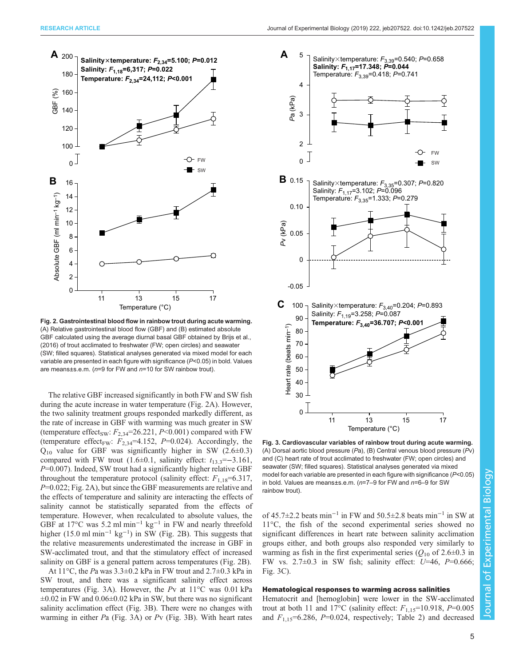

Fig. 2. Gastrointestinal blood flow in rainbow trout during acute warming. (A) Relative gastrointestinal blood flow (GBF) and (B) estimated absolute GBF calculated using the average diurnal basal GBF obtained by [Brijs et al.,](#page-7-0) [\(2016\)](#page-7-0) of trout acclimated to freshwater (FW; open circles) and seawater (SW; filled squares). Statistical analyses generated via mixed model for each variable are presented in each figure with significance (P<0.05) in bold. Values are means±s.e.m. (n=9 for FW and n=10 for SW rainbow trout).

The relative GBF increased significantly in both FW and SW fish during the acute increase in water temperature (Fig. 2A). However, the two salinity treatment groups responded markedly different, as the rate of increase in GBF with warming was much greater in SW (temperature effect<sub>SW</sub>:  $F_{2,34}$ =26.221, P<0.001) compared with FW (temperature effect<sub>FW</sub>:  $F_{2,34}$ =4.152, P=0.024). Accordingly, the  $Q_{10}$  value for GBF was significantly higher in SW (2.6 $\pm$ 0.3) compared with FW trout (1.6±0.1, salinity effect:  $t_{13.3} = -3.161$ ,  $P=0.007$ ). Indeed, SW trout had a significantly higher relative GBF throughout the temperature protocol (salinity effect:  $F_{1,18}=6.317$ , P=0.022; Fig. 2A), but since the GBF measurements are relative and the effects of temperature and salinity are interacting the effects of salinity cannot be statistically separated from the effects of temperature. However, when recalculated to absolute values, the GBF at 17°C was 5.2 ml min−<sup>1</sup> kg−<sup>1</sup> in FW and nearly threefold higher (15.0 ml min−<sup>1</sup> kg−<sup>1</sup> ) in SW (Fig. 2B). This suggests that the relative measurements underestimated the increase in GBF in SW-acclimated trout, and that the stimulatory effect of increased salinity on GBF is a general pattern across temperatures (Fig. 2B).

At  $11^{\circ}$ C, the Pa was  $3.3\pm0.2$  kPa in FW trout and  $2.7\pm0.3$  kPa in SW trout, and there was a significant salinity effect across temperatures (Fig. 3A). However, the Pv at 11°C was 0.01 kPa  $\pm 0.02$  in FW and  $0.06 \pm 0.02$  kPa in SW, but there was no significant salinity acclimation effect (Fig. 3B). There were no changes with warming in either  $Pa$  (Fig. 3A) or  $Pv$  (Fig. 3B). With heart rates



Fig. 3. Cardiovascular variables of rainbow trout during acute warming. (A) Dorsal aortic blood pressure (Pa), (B) Central venous blood pressure (Pv) and (C) heart rate of trout acclimated to freshwater (FW; open circles) and seawater (SW; filled squares). Statistical analyses generated via mixed model for each variable are presented in each figure with significance (P<0.05) in bold. Values are means±s.e.m. (n=7–9 for FW and n=6–9 for SW rainbow trout).

of 45.7 $\pm$ 2.2 beats min<sup>-1</sup> in FW and 50.5 $\pm$ 2.8 beats min<sup>-1</sup> in SW at 11°C, the fish of the second experimental series showed no significant differences in heart rate between salinity acclimation groups either, and both groups also responded very similarly to warming as fish in the first experimental series  $(Q_{10}$  of 2.6 $\pm$ 0.3 in FW vs.  $2.7\pm0.3$  in SW fish; salinity effect:  $U=46$ ,  $P=0.666$ ; Fig. 3C).

#### Hematological responses to warming across salinities

Hematocrit and [hemoglobin] were lower in the SW-acclimated trout at both 11 and 17°C (salinity effect:  $F_{1,15}=10.918$ ,  $P=0.005$ and  $F_{1,15}$ =6.286, P=0.024, respectively; [Table 2](#page-5-0)) and decreased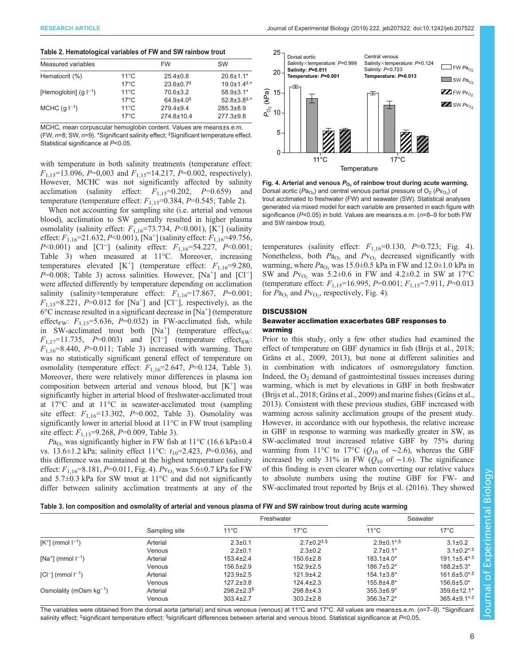#### <span id="page-5-0"></span>Table 2. Hematological variables of FW and SW rainbow trout

| Measured variables        |                | <b>FW</b>                 | <b>SW</b>                                  |
|---------------------------|----------------|---------------------------|--------------------------------------------|
| Hematocrit (%)            | $11^{\circ}$ C | $25.4 \pm 0.8$            | $20.6 \pm 1.1*$                            |
|                           | $17^{\circ}$ C | $23.6 \pm 0.7^{\ddagger}$ | $19.0 \pm 1.4$ <sup><math>\pm</math></sup> |
| [Hemoglobin] $(q  ^{-1})$ | $11^{\circ}$ C | $70.6 \pm 3.2$            | $58.9 + 3.1*$                              |
|                           | $17^{\circ}$ C | $64.9{\pm}4.0^{\ddagger}$ | $52.8 \pm 3.8^{\ddagger,*}$                |
| MCHC $(q ^{-1})$          | $11^{\circ}$ C | $2794+94$                 | $285.3 \pm 8.9$                            |
|                           | $17^{\circ}$ C | 274.8±10.4                | $277.3 \pm 9.8$                            |

MCHC, mean corpuscular hemoglobin content. Values are means±s.e.m. (FW, n=8; SW, n=9). \*Significant salinity effect; <sup>‡</sup>Significant temperature effect. Statistical significance at P<0.05.

with temperature in both salinity treatments (temperature effect:  $F_{1,15}$ =13.096, P=0,003 and  $F_{1,15}$ =14.217, P=0.002, respectively). However, MCHC was not significantly affected by salinity acclimation (salinity effect:  $F_{1,15}=0.202$ ,  $P=0.659$ ) and temperature (temperature effect:  $F_{1,15}=0.384$ ,  $P=0.545$ ; Table 2).

When not accounting for sampling site (i.e. arterial and venous blood), acclimation to SW generally resulted in higher plasma osmolality (salinity effect:  $F_{1,16}$ =73.734, P<0.001), [K<sup>+</sup>] (salinity effect:  $F_{1,16}$ =21.632, P<0.001), [Na<sup>+</sup>] (salinity effect:  $F_{1,16}$ =49.756, P<0.001) and [Cl<sup>-</sup>] (salinity effect:  $F_{1,16}$ =54.227, P<0.001; Table 3) when measured at 11°C. Moreover, increasing temperatures elevated [K<sup>+</sup>] (temperature effect:  $F_{1,16}$ =9.280,  $P=0.008$ ; Table 3) across salinities. However, [Na<sup>+</sup>] and [Cl<sup>-</sup>] were affected differently by temperature depending on acclimation salinity (salinity×temperature effect:  $F_{1,16}$ =17.867, P=0.001;  $F_{1,15}=8.221, P=0.012$  for [Na<sup>+</sup>] and [Cl<sup>-</sup>], respectively), as the  $6^{\circ}$ C increase resulted in a significant decrease in [Na<sup>+</sup>] (temperature effect<sub>FW</sub>:  $F_{1,15}$ =5.636, P=0.032) in FW-acclimated fish, while in SW-acclimated trout both  $[Na^+]$  (temperature effect<sub>SW</sub>:  $F_{1,17}=11.735$ , P=0.003) and [Cl<sup>-</sup>] (temperature effect<sub>sw</sub>:  $F_{1,16}=8.440, P=0.011$ ; Table 3) increased with warming. There was no statistically significant general effect of temperature on osmolality (temperature effect:  $F_{1,16}$ =2.647, P=0.124, Table 3). Moreover, there were relatively minor differences in plasma ion composition between arterial and venous blood, but  $[K^+]$  was significantly higher in arterial blood of freshwater-acclimated trout at 17°C and at 11°C in seawater-acclimated trout (sampling site effect:  $F_{1,16}$ =13.302, P=0.002, Table 3). Osmolality was significantly lower in arterial blood at 11°C in FW trout (sampling site effect:  $F_{1,13}$ =9.268, P=0.009, Table 3).

 $Pa<sub>O</sub>$ , was significantly higher in FW fish at 11°C (16.6 kPa±0.4 vs. 13.6 $\pm$ 1.2 kPa; salinity effect 11°C:  $t_{10}$ =2.423, P=0.036), and this difference was maintained at the highest temperature (salinity effect:  $F_{1,16}$ =8.181, P=0.011, Fig. 4). Pv<sub>O2</sub> was 5.6±0.7 kPa for FW and 5.7±0.3 kPa for SW trout at 11°C and did not significantly differ between salinity acclimation treatments at any of the



Fig. 4. Arterial and venous  $P_{O_2}$  of rainbow trout during acute warming. Dorsal aortic ( $Pa_{\text{O}_2}$ ) and central venous partial pressure of  $\text{O}_2$  ( $P\text{V}_{\text{O}_2}$ ) of trout acclimated to freshwater (FW) and seawater (SW). Statistical analyses generated via mixed model for each variable are presented in each figure with significance (P<0.05) in bold. Values are means±s.e.m. (n=8–9 for both FW and SW rainbow trout).

temperatures (salinity effect:  $F_{1,16}$ =0.130, P=0.723; Fig. 4). Nonetheless, both  $Pa<sub>O2</sub>$  and  $Pv<sub>O2</sub>$  decreased significantly with warming, where  $Pa<sub>O</sub>$ , was 15.0 $\pm$ 0.5 kPa in FW and 12.0 $\pm$ 1.0 kPa in SW and  $Pv_{\text{O}_2}$  was 5.2 $\pm$ 0.6 in FW and 4.2 $\pm$ 0.2 in SW at 17°C (temperature effect:  $F_{1,15}$ =16.995, P=0.001;  $F_{1,15}$ =7.911, P=0.013 for  $Pa<sub>O<sub>2</sub></sub>$  and  $P<sub>VO<sub>2</sub></sub>$ , respectively, Fig. 4).

## **DISCUSSION**

## Seawater acclimation exacerbates GBF responses to warming

Prior to this study, only a few other studies had examined the effect of temperature on GBF dynamics in fish [\(Brijs et al., 2018](#page-7-0); [Gräns et al., 2009, 2013\)](#page-8-0), but none at different salinities and in combination with indicators of osmoregulatory function. Indeed, the  $O<sub>2</sub>$  demand of gastrointestinal tissues increases during warming, which is met by elevations in GBF in both freshwater [\(Brijs et al., 2018;](#page-7-0) [Gräns et al., 2009](#page-8-0)) and marine fishes ([Gräns et al.,](#page-8-0) [2013\)](#page-8-0). Consistent with these previous studies, GBF increased with warming across salinity acclimation groups of the present study. However, in accordance with our hypothesis, the relative increase in GBF in response to warming was markedly greater in SW, as SW-acclimated trout increased relative GBF by 75% during warming from 11°C to 17°C ( $Q_{10}$  of ~2.6), whereas the GBF increased by only 31% in FW ( $Q_{10}$  of ~1.6). The significance of this finding is even clearer when converting our relative values to absolute numbers using the routine GBF for FW- and SW-acclimated trout reported by [Brijs et al. \(2016\).](#page-7-0) They showed

| Table 3. Ion composition and osmolality of arterial and venous plasma of FW and SW rainbow trout during acute warming |  |  |
|-----------------------------------------------------------------------------------------------------------------------|--|--|
|                                                                                                                       |  |  |
|                                                                                                                       |  |  |
|                                                                                                                       |  |  |

|                              | Sampling site | Freshwater                   |                                              | Seawater                     |                                 |
|------------------------------|---------------|------------------------------|----------------------------------------------|------------------------------|---------------------------------|
|                              |               | $11^{\circ}$ C               | $17^{\circ}$ C                               | $11^{\circ}$ C               | $17^{\circ}$ C                  |
| $[K^+]$ (mmol $I^{-1}$ )     | Arterial      | $2.3 \pm 0.1$                | $2.7 \pm 0.2$ <sup><math>\pm .8</math></sup> | $2.9 \pm 0.1$ <sup>*,§</sup> | $3.1 \pm 0.2$                   |
|                              | Venous        | $2.2 \pm 0.1$                | $2.3 \pm 0.2$                                | $2.7 \pm 0.1*$               | $3.1\pm0.2$ <sup>*,‡</sup>      |
| $[Na^+]$ (mmol $I^{-1}$ )    | Arterial      | $153.4 \pm 2.4$              | $150.6 \pm 2.8$                              | $183.1 \pm 4.0*$             | $191.1 \pm 5.4$ <sup>*,‡</sup>  |
|                              | Venous        | $156.5 \pm 2.9$              | $152.9 \pm 2.5$                              | $186.7 \pm 5.2^*$            | $188.2 \pm 5.3*$                |
| $ Cl^- $ (mmol $ ^{-1}$ )    | Arterial      | $123.9 \pm 2.5$              | $121.9+4.2$                                  | $154.1 \pm 3.8^*$            | $161.6 \pm 5.0$ * <sup>+</sup>  |
|                              | Venous        | $127.2 \pm 3.8$              | $124.4 \pm 2.3$                              | $155.8 + 4.8*$               | $156.6 \pm 5.0*$                |
| Osmolality (mOsm $kg^{-1}$ ) | Arterial      | $298.2 \pm 2.3$ <sup>§</sup> | $298.8 + 4.3$                                | $355.3\pm 6.9*$              | $359.6 \pm 12.1*$               |
|                              | Venous        | $303.4 \pm 2.7$              | $303.2 \pm 2.8$                              | $356.3 \pm 7.2^*$            | $365.4 \pm 9.1$ *, <sup>‡</sup> |

The variables were obtained from the dorsal aorta (arterial) and sinus venosus (venous) at 11°C and 17°C. All values are means±s.e.m. (n=7–9). \*Significant salinity effect; <sup>‡</sup>significant temperature effect; <sup>§</sup>significant differences between arterial and venous blood. Statistical significance at *P*<0.05.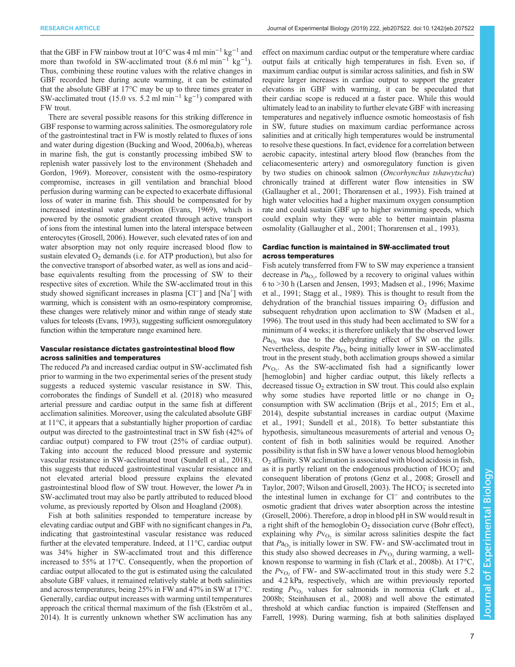that the GBF in FW rainbow trout at 10°C was 4 ml min−<sup>1</sup> kg−<sup>1</sup> and more than twofold in SW-acclimated trout  $(8.6 \text{ ml min}^{-1} \text{ kg}^{-1})$ . Thus, combining these routine values with the relative changes in GBF recorded here during acute warming, it can be estimated that the absolute GBF at 17°C may be up to three times greater in SW-acclimated trout (15.0 vs. 5.2 ml min<sup>-1</sup> kg<sup>-1</sup>) compared with FW trout.

There are several possible reasons for this striking difference in GBF response to warming across salinities. The osmoregulatory role of the gastrointestinal tract in FW is mostly related to fluxes of ions and water during digestion [\(Bucking and Wood, 2006a](#page-7-0),[b\)](#page-7-0), whereas in marine fish, the gut is constantly processing imbibed SW to replenish water passively lost to the environment ([Shehadeh and](#page-8-0) [Gordon, 1969\)](#page-8-0). Moreover, consistent with the osmo-respiratory compromise, increases in gill ventilation and branchial blood perfusion during warming can be expected to exacerbate diffusional loss of water in marine fish. This should be compensated for by increased intestinal water absorption [\(Evans, 1969](#page-7-0)), which is powered by the osmotic gradient created through active transport of ions from the intestinal lumen into the lateral interspace between enterocytes [\(Grosell, 2006\)](#page-8-0). However, such elevated rates of ion and water absorption may not only require increased blood flow to sustain elevated  $O_2$  demands (i.e. for ATP production), but also for the convective transport of absorbed water, as well as ions and acid– base equivalents resulting from the processing of SW to their respective sites of excretion. While the SW-acclimated trout in this study showed significant increases in plasma [Cl<sup>−</sup>] and [Na<sup>+</sup>] with warming, which is consistent with an osmo-respiratory compromise, these changes were relatively minor and within range of steady state values for teleosts [\(Evans, 1993](#page-7-0)), suggesting sufficient osmoregulatory function within the temperature range examined here.

### Vascular resistance dictates gastrointestinal blood flow across salinities and temperatures

The reduced Pa and increased cardiac output in SW-acclimated fish prior to warming in the two experimental series of the present study suggests a reduced systemic vascular resistance in SW. This, corroborates the findings of [Sundell et al. \(2018\)](#page-8-0) who measured arterial pressure and cardiac output in the same fish at different acclimation salinities. Moreover, using the calculated absolute GBF at 11°C, it appears that a substantially higher proportion of cardiac output was directed to the gastrointestinal tract in SW fish (42% of cardiac output) compared to FW trout (25% of cardiac output). Taking into account the reduced blood pressure and systemic vascular resistance in SW-acclimated trout [\(Sundell et al., 2018\)](#page-8-0), this suggests that reduced gastrointestinal vascular resistance and not elevated arterial blood pressure explains the elevated gastrointestinal blood flow of SW trout. However, the lower Pa in SW-acclimated trout may also be partly attributed to reduced blood volume, as previously reported by [Olson and Hoagland \(2008\)](#page-8-0).

Fish at both salinities responded to temperature increase by elevating cardiac output and GBF with no significant changes in Pa, indicating that gastrointestinal vascular resistance was reduced further at the elevated temperature. Indeed, at 11°C, cardiac output was 34% higher in SW-acclimated trout and this difference increased to 55% at 17°C. Consequently, when the proportion of cardiac output allocated to the gut is estimated using the calculated absolute GBF values, it remained relatively stable at both salinities and across temperatures, being 25% in FW and 47% in SW at 17°C. Generally, cardiac output increases with warming until temperatures approach the critical thermal maximum of the fish ([Ekström et al.,](#page-7-0) [2014](#page-7-0)). It is currently unknown whether SW acclimation has any

effect on maximum cardiac output or the temperature where cardiac output fails at critically high temperatures in fish. Even so, if maximum cardiac output is similar across salinities, and fish in SW require larger increases in cardiac output to support the greater elevations in GBF with warming, it can be speculated that their cardiac scope is reduced at a faster pace. While this would ultimately lead to an inability to further elevate GBF with increasing temperatures and negatively influence osmotic homeostasis of fish in SW, future studies on maximum cardiac performance across salinities and at critically high temperatures would be instrumental to resolve these questions. In fact, evidence for a correlation between aerobic capacity, intestinal artery blood flow (branches from the celiacomesenteric artery) and osmoregulatory function is given by two studies on chinook salmon (Oncorhynchus tshawytscha) chronically trained at different water flow intensities in SW [\(Gallaugher et al., 2001;](#page-7-0) [Thorarensen et al., 1993](#page-8-0)). Fish trained at high water velocities had a higher maximum oxygen consumption rate and could sustain GBF up to higher swimming speeds, which could explain why they were able to better maintain plasma osmolality [\(Gallaugher et al., 2001](#page-7-0); [Thorarensen et al., 1993\)](#page-8-0).

## Cardiac function is maintained in SW-acclimated trout across temperatures

Fish acutely transferred from FW to SW may experience a transient decrease in  $Pa<sub>O<sub>2</sub></sub>$ , followed by a recovery to original values within 6 to >30 h [\(Larsen and Jensen, 1993; Madsen et al., 1996; Maxime](#page-8-0) [et al., 1991](#page-8-0); [Stagg et al., 1989](#page-8-0)). This is thought to result from the dehydration of the branchial tissues impairing  $O<sub>2</sub>$  diffusion and subsequent rehydration upon acclimation to SW ([Madsen et al.,](#page-8-0) [1996\)](#page-8-0). The trout used in this study had been acclimated to SW for a minimum of 4 weeks; it is therefore unlikely that the observed lower  $Pa<sub>O</sub>$ , was due to the dehydrating effect of SW on the gills. Nevertheless, despite  $Pa<sub>O</sub>$ , being initially lower in SW-acclimated trout in the present study, both acclimation groups showed a similar  $Pv_{O_2}$ . As the SW-acclimated fish had a significantly lower [hemoglobin] and higher cardiac output, this likely reflects a decreased tissue  $O_2$  extraction in SW trout. This could also explain why some studies have reported little or no change in  $O<sub>2</sub>$ consumption with SW acclimation [\(Brijs et al., 2015; Ern et al.,](#page-7-0) [2014\)](#page-7-0), despite substantial increases in cardiac output ([Maxime](#page-8-0) [et al., 1991; Sundell et al., 2018\)](#page-8-0). To better substantiate this hypothesis, simultaneous measurements of arterial and venous  $O<sub>2</sub>$ content of fish in both salinities would be required. Another possibility is that fish in SW have a lower venous blood hemoglobin  $O<sub>2</sub>$  affinity. SW acclimation is associated with blood acidosis in fish, as it is partly reliant on the endogenous production of  $HCO<sub>3</sub><sup>-</sup>$  and consequent liberation of protons [\(Genz et al., 2008; Grosell and](#page-8-0) [Taylor, 2007; Wilson and Grosell, 2003\)](#page-8-0). The HCO<sub>3</sub> is secreted into the intestinal lumen in exchange for Cl<sup>−</sup> and contributes to the osmotic gradient that drives water absorption across the intestine [\(Grosell, 2006\)](#page-8-0). Therefore, a drop in blood pH in SW would result in a right shift of the hemoglobin  $O_2$  dissociation curve (Bohr effect), explaining why  $Pv_{\text{O}_2}$  is similar across salinities despite the fact that  $Pa<sub>O2</sub>$  is initially lower in SW. FW- and SW-acclimated trout in this study also showed decreases in  $Pv_{\text{O}_2}$  during warming, a wellknown response to warming in fish [\(Clark et al., 2008b\)](#page-7-0). At 17°C, the  $Pv_{\Omega_2}$  of FW- and SW-acclimated trout in this study were 5.2 and 4.2 kPa, respectively, which are within previously reported resting  $Pv_{\text{O}_2}$  values for salmonids in normoxia ([Clark et al.,](#page-7-0) [2008b](#page-7-0); [Steinhausen et al., 2008\)](#page-8-0) and well above the estimated threshold at which cardiac function is impaired [\(Steffensen and](#page-8-0) [Farrell, 1998](#page-8-0)). During warming, fish at both salinities displayed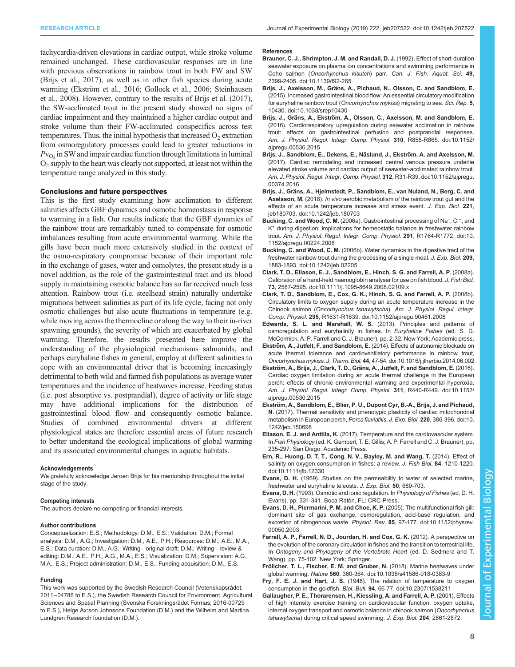<span id="page-7-0"></span>tachycardia-driven elevations in cardiac output, while stroke volume remained unchanged. These cardiovascular responses are in line with previous observations in rainbow trout in both FW and SW (Brijs et al., 2017), as well as in other fish species during acute warming (Ekström et al., 2016; [Gollock et al., 2006](#page-8-0); [Steinhausen](#page-8-0) [et al., 2008](#page-8-0)). However, contrary to the results of Brijs et al. (2017), the SW-acclimated trout in the present study showed no signs of cardiac impairment and they maintained a higher cardiac output and stroke volume than their FW-acclimated conspecifics across test temperatures. Thus, the initial hypothesis that increased  $O<sub>2</sub>$  extraction from osmoregulatory processes could lead to greater reductions in  $Pv_{\text{O}_2}$  in SW and impair cardiac function through limitations in luminal  $O_2$  supply to the heart was clearly not supported, at least not within the temperature range analyzed in this study.

#### Conclusions and future perspectives

This is the first study examining how acclimation to different salinities affects GBF dynamics and osmotic homeostasis in response to warming in a fish. Our results indicate that the GBF dynamics of the rainbow trout are remarkably tuned to compensate for osmotic imbalances resulting from acute environmental warming. While the gills have been much more extensively studied in the context of the osmo-respiratory compromise because of their important role in the exchange of gases, water and osmolytes, the present study is a novel addition, as the role of the gastrointestinal tract and its blood supply in maintaining osmotic balance has so far received much less attention. Rainbow trout (i.e. steelhead strain) naturally undertake migrations between salinities as part of its life cycle, facing not only osmotic challenges but also acute fluctuations in temperature (e.g. while moving across the thermocline or along the way to their in-river spawning grounds), the severity of which are exacerbated by global warming. Therefore, the results presented here improve the understanding of the physiological mechanisms salmonids, and perhaps euryhaline fishes in general, employ at different salinities to cope with an environmental driver that is becoming increasingly detrimental to both wild and farmed fish populations as average water temperatures and the incidence of heatwaves increase. Feeding status (i.e. post absorptive vs. postprandial), degree of activity or life stage may have additional implications for the distribution of gastrointestinal blood flow and consequently osmotic balance. Studies of combined environmental drivers at different physiological states are therefore essential areas of future research to better understand the ecological implications of global warming and its associated environmental changes in aquatic habitats.

#### Acknowledgements

We gratefully acknowledge Jeroen Brijs for his mentorship throughout the initial stage of the study.

#### Competing interests

The authors declare no competing or financial interests.

#### Author contributions

Conceptualization: E.S.; Methodology: D.M., E.S.; Validation: D.M.; Formal analysis: D.M., A.G.; Investigation: D.M., A.E., P.H.; Resources: D.M., A.E., M.A., E.S.; Data curation: D.M., A.G.; Writing - original draft: D.M.; Writing - review & editing: D.M., A.E., P.H., A.G., M.A., E.S.; Visualization: D.M.; Supervision: A.G., M.A., E.S.; Project administration: D.M., E.S.; Funding acquisition: D.M., E.S.

#### Funding

This work was supported by the Swedish Research Council (Vetenskapsrådet; 2011−04786 to E.S.), the Swedish Research Council for Environment, Agricultural Sciences and Spatial Planning (Svenska Forskningsrådet Formas; 2016-00729 to E.S.), Helge Ax:son Johnsons Foundation (D.M.) and the Wilhelm and Martina Lundgren Research foundation (D.M.).

#### References

- [Brauner, C. J., Shrimpton, J. M. and Randall, D. J.](https://doi.org/10.1139/f92-265) (1992). Effect of short-duration [seawater exposure on plasma ion concentrations and swimming performance in](https://doi.org/10.1139/f92-265) Coho salmon (Oncorhynchus kisutch) parr. [Can. J. Fish. Aquat. Sci.](https://doi.org/10.1139/f92-265) 49, [2399-2405. doi:10.1139/f92-265](https://doi.org/10.1139/f92-265)
- Brijs, J., Axelsson, M., Grä[ns, A., Pichaud, N., Olsson, C. and Sandblom, E.](https://doi.org/10.1038/srep10430) [\(2015\). Increased gastrointestinal blood flow: An essential circulatory modification](https://doi.org/10.1038/srep10430) [for euryhaline rainbow trout \(](https://doi.org/10.1038/srep10430)Oncorhynchus mykiss) migrating to sea. Sci. Rep. 5, [10430. doi:10.1038/srep10430](https://doi.org/10.1038/srep10430)
- Brijs, J., Gräns, A., Ekströ[m, A., Olsson, C., Axelsson, M. and Sandblom, E.](https://doi.org/10.1152/ajpregu.00536.2015) [\(2016\). Cardiorespiratory upregulation during seawater acclimation in rainbow](https://doi.org/10.1152/ajpregu.00536.2015) [trout: effects on gastrointestinal perfusion and postprandial responses.](https://doi.org/10.1152/ajpregu.00536.2015) [Am. J. Physiol. Regul. Integr. Comp. Physiol.](https://doi.org/10.1152/ajpregu.00536.2015) 310, R858-R865. doi:10.1152/ [ajpregu.00536.2015](https://doi.org/10.1152/ajpregu.00536.2015)
- Brijs, J., Sandblom, E., Dekens, E., Näslund, J., Ekström, A. and Axelsson, M. [\(2017\). Cardiac remodeling and increased central venous pressure underlie](https://doi.org/10.1152/ajpregu.00374.2016) [elevated stroke volume and cardiac output of seawater-acclimated rainbow trout.](https://doi.org/10.1152/ajpregu.00374.2016) [Am. J. Physiol. Regul. Integr. Comp. Physiol.](https://doi.org/10.1152/ajpregu.00374.2016) 312, R31-R39. doi:10.1152/ajpregu. [00374.2016](https://doi.org/10.1152/ajpregu.00374.2016)
- Brijs, J., Grä[ns, A., Hjelmstedt, P., Sandblom, E., van Nuland, N., Berg, C. and](https://doi.org/10.1242/jeb.180703) Axelsson, M. (2018). In vivo [aerobic metabolism of the rainbow trout gut and the](https://doi.org/10.1242/jeb.180703) [effects of an acute temperature increase and stress event.](https://doi.org/10.1242/jeb.180703) J. Exp. Biol. 221, [jeb180703. doi:10.1242/jeb.180703](https://doi.org/10.1242/jeb.180703)
- Bucking, C. and Wood, C. M. [\(2006a\).](https://doi.org/10.1152/ajpregu.00224.2006) [Gastrointestinal](https://doi.org/10.1152/ajpregu.00224.2006) [processing](https://doi.org/10.1152/ajpregu.00224.2006) [of](https://doi.org/10.1152/ajpregu.00224.2006) [Na](https://doi.org/10.1152/ajpregu.00224.2006)<sup>+</sup>[,](https://doi.org/10.1152/ajpregu.00224.2006) [Cl](https://doi.org/10.1152/ajpregu.00224.2006)<sup>−</sup>[, and](https://doi.org/10.1152/ajpregu.00224.2006) [K+](https://doi.org/10.1152/ajpregu.00224.2006) [during digestion: implications for homeostatic balance in freshwater rainbow](https://doi.org/10.1152/ajpregu.00224.2006) trout. [Am. J. Physiol. Regul. Integr. Comp. Physiol.](https://doi.org/10.1152/ajpregu.00224.2006) 291, R1764-R1772. doi:10. [1152/ajpregu.00224.2006](https://doi.org/10.1152/ajpregu.00224.2006)
- Bucking, C. and Wood, C. M. [\(2006b\). Water dynamics in the digestive tract of the](https://doi.org/10.1242/jeb.02205) [freshwater rainbow trout during the processing of a single meal.](https://doi.org/10.1242/jeb.02205) J. Exp. Biol. 209, [1883-1893. doi:10.1242/jeb.02205](https://doi.org/10.1242/jeb.02205)
- [Clark, T. D., Eliason, E. J., Sandblom, E., Hinch, S. G. and Farrell, A. P.](https://doi.org/10.1111/j.1095-8649.2008.02109.x) (2008a). [Calibration of a hand-held haemoglobin analyser for use on fish blood.](https://doi.org/10.1111/j.1095-8649.2008.02109.x) J. Fish Biol. 73[, 2587-2595. doi:10.1111/j.1095-8649.2008.02109.x](https://doi.org/10.1111/j.1095-8649.2008.02109.x)
- [Clark, T. D., Sandblom, E., Cox, G. K., Hinch, S. G. and Farrell, A. P.](https://doi.org/10.1152/ajpregu.90461.2008) (2008b). [Circulatory limits to oxygen supply during an acute temperature increase in the](https://doi.org/10.1152/ajpregu.90461.2008) Chinook salmon (Oncorhynchus tshawytscha). [Am. J. Physiol. Regul. Integr.](https://doi.org/10.1152/ajpregu.90461.2008) Comp. Physiol. 295[, R1631-R1639. doi:10.1152/ajpregu.90461.2008](https://doi.org/10.1152/ajpregu.90461.2008)
- Edwards, S. L. and Marshall, W. S. (2013). Principles and patterns of osmoregulation and euryhalinity in fishes. In Euryhaline Fishes (ed. S. D. McCormick, A. P. Farrell and C. J. Brauner), pp. 2-32. New York: Academic press.
- Ekström, A., Jutfelt, F. and Sandblom, E. [\(2014\). Effects of autonomic blockade on](https://doi.org/10.1016/j.jtherbio.2014.06.002) [acute thermal tolerance and cardioventilatory performance in rainbow trout,](https://doi.org/10.1016/j.jtherbio.2014.06.002) Oncorhynchus mykiss. J. Therm. Biol. 44[, 47-54. doi:10.1016/j.jtherbio.2014.06.002](https://doi.org/10.1016/j.jtherbio.2014.06.002)
- Ekström, A., Brijs, J., Clark, T. D., Grä[ns, A., Jutfelt, F. and Sandblom, E.](https://doi.org/10.1152/ajpregu.00530.2015) (2016). [Cardiac oxygen limitation during an acute thermal challenge in the European](https://doi.org/10.1152/ajpregu.00530.2015) [perch: effects of chronic environmental warming and experimental hyperoxia.](https://doi.org/10.1152/ajpregu.00530.2015) [Am. J. Physiol. Regul. Integr. Comp. Physiol.](https://doi.org/10.1152/ajpregu.00530.2015) 311, R440-R449. doi:10.1152/ [ajpregu.00530.2015](https://doi.org/10.1152/ajpregu.00530.2015)
- Ekströ[m, A., Sandblom, E., Blier, P. U., Dupont Cyr, B.-A., Brijs, J. and Pichaud,](https://doi.org/10.1242/jeb.150698) N. [\(2017\). Thermal sensitivity and phenotypic plasticity of cardiac mitochondrial](https://doi.org/10.1242/jeb.150698) [metabolism in European perch,](https://doi.org/10.1242/jeb.150698) Perca fluviatilis. J. Exp. Biol. 220, 386-396. doi:10. [1242/jeb.150698](https://doi.org/10.1242/jeb.150698)
- Eliason, E. J. and Anttila, K. (2017). Temperature and the cardiovascular system. In Fish Physiology (ed. K. Gamperl, T. E. Gillis, A. P. Farrell and C. J. Brauner), pp. 235-297. San Diego: Academic Press.
- [Ern, R., Huong, D. T. T., Cong, N. V., Bayley, M. and Wang, T.](https://doi.org/10.1111/jfb.12330) (2014). Effect of [salinity on oxygen consumption in fishes: a review.](https://doi.org/10.1111/jfb.12330) J. Fish Biol. 84, 1210-1220. [doi:10.1111/jfb.12330](https://doi.org/10.1111/jfb.12330)
- Evans, D. H. (1969). Studies on the permeability to water of selected marine, freshwater and euryhaline teleosts. J. Exp. Biol. 50, 689-703.
- Evans, D. H. (1993). Osmotic and ionic regulation. In Physiology of Fishes (ed. D. H. Evans), pp. 331-341. Boca Ratón, FL: CRC-Press.
- [Evans, D. H., Piermarini, P. M. and Choe, K. P.](https://doi.org/10.1152/physrev.00050.2003) (2005). The multifunctional fish gill: [dominant site of gas exchange, osmoregulation, acid-base regulation, and](https://doi.org/10.1152/physrev.00050.2003) [excretion of nitrogenous waste.](https://doi.org/10.1152/physrev.00050.2003) Physiol. Rev. 85, 97-177. doi:10.1152/physrev. [00050.2003](https://doi.org/10.1152/physrev.00050.2003)
- Farrell, A. P., Farrell, N. D., Jourdan, H. and Cox, G. K. (2012). A perspective on the evolution of the coronary circulation in fishes and the transition to terrestrial life. In Ontogeny and Phylogeny of the Vertebrate Heart (ed. D. Sedmera and T. Wang), pp. 75-102. New York: Springer.
- Frö[licher, T. L., Fischer, E. M. and Gruber, N.](https://doi.org/10.1038/s41586-018-0383-9) (2018). Marine heatwaves under global warming. Nature 560[, 360-364. doi:10.1038/s41586-018-0383-9](https://doi.org/10.1038/s41586-018-0383-9)
- Fry, F. E. J. and Hart, J. S. [\(1948\). The relation of temperature to oxygen](https://doi.org/10.2307/1538211) consumption in the goldfish. Biol. Bull. 94[, 66-77. doi:10.2307/1538211](https://doi.org/10.2307/1538211)
- Gallaugher, P. E., Thorarensen, H., Kiessling, A. and Farrell, A. P. (2001). Effects of high intensity exercise training on cardiovascular function, oxygen uptake, internal oxygen transport and osmotic balance in chinook salmon (Oncorhynchus tshawytscha) during critical speed swimming. J. Exp. Biol. 204, 2861-2872.